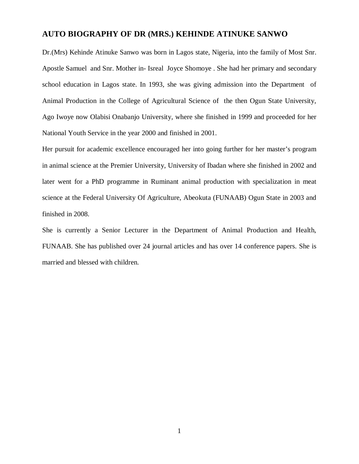# **AUTO BIOGRAPHY OF DR (MRS.) KEHINDE ATINUKE SANWO**

Dr.(Mrs) Kehinde Atinuke Sanwo was born in Lagos state, Nigeria, into the family of Most Snr. Apostle Samuel and Snr. Mother in- Isreal Joyce Shomoye . She had her primary and secondary school education in Lagos state. In 1993, she was giving admission into the Department of Animal Production in the College of Agricultural Science of the then Ogun State University, Ago Iwoye now Olabisi Onabanjo University, where she finished in 1999 and proceeded for her National Youth Service in the year 2000 and finished in 2001.

Her pursuit for academic excellence encouraged her into going further for her master's program in animal science at the Premier University, University of Ibadan where she finished in 2002 and later went for a PhD programme in Ruminant animal production with specialization in meat science at the Federal University Of Agriculture, Abeokuta (FUNAAB) Ogun State in 2003 and finished in 2008.

She is currently a Senior Lecturer in the Department of Animal Production and Health, FUNAAB. She has published over 24 journal articles and has over 14 conference papers. She is married and blessed with children.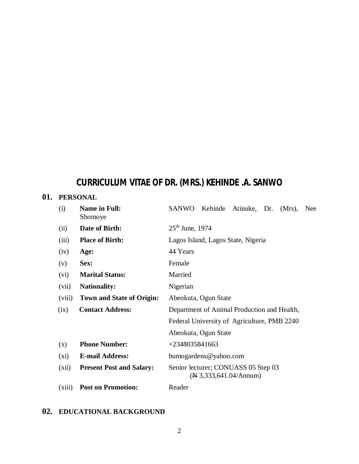# **CURRICULUM VITAE OF DR. (MRS.) KEHINDE .A. SANWO**

# **01. PERSONAL**

| (i)     | <b>Name in Full:</b><br>Shomoye  | <b>SANWO</b><br>Kehinde<br>Atinuke, Dr.<br>$(Mrs)$ ,<br><b>Nee</b>         |
|---------|----------------------------------|----------------------------------------------------------------------------|
| (ii)    | Date of Birth:                   | $25th$ June, 1974                                                          |
| (iii)   | <b>Place of Birth:</b>           | Lagos Island, Lagos State, Nigeria                                         |
| (iv)    | Age:                             | 44 Years                                                                   |
| (v)     | Sex:                             | Female                                                                     |
| (vi)    | <b>Marital Status:</b>           | Married                                                                    |
| (vii)   | <b>Nationality:</b>              | Nigerian                                                                   |
| (viii)  | <b>Town and State of Origin:</b> | Abeokuta, Ogun State                                                       |
| (ix)    | <b>Contact Address:</b>          | Department of Animal Production and Health,                                |
|         |                                  | Federal University of Agriculture, PMB 2240                                |
|         |                                  | Abeokuta, Ogun State                                                       |
| (x)     | <b>Phone Number:</b>             | +2348035841663                                                             |
| $(x_i)$ | <b>E-mail Address:</b>           | bumogardens@yahoo.com                                                      |
| (xii)   | <b>Present Post and Salary:</b>  | Senior lecturer; CONUASS 05 Step 03<br>$(\mathbb{N} 3, 333, 641.04/Annum)$ |
| (xiii)  | <b>Post on Promotion:</b>        | Reader                                                                     |

# **02. EDUCATIONAL BACKGROUND**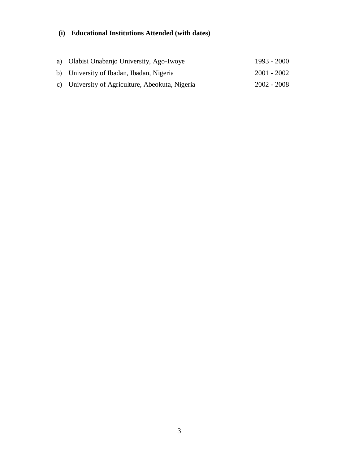# **(i) Educational Institutions Attended (with dates)**

| a) Olabisi Onabanjo University, Ago-Iwoye       | 1993 - 2000 |
|-------------------------------------------------|-------------|
| b) University of Ibadan, Ibadan, Nigeria        | 2001 - 2002 |
| c) University of Agriculture, Abeokuta, Nigeria | 2002 - 2008 |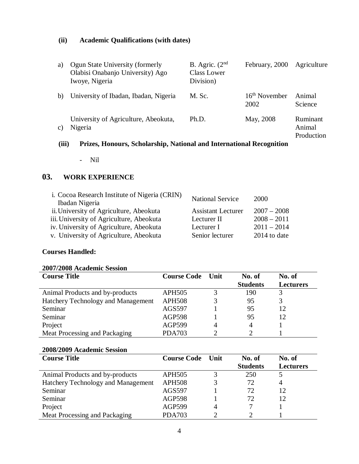# **(ii) Academic Qualifications (with dates)**

| a)              | Ogun State University (formerly<br>Olabisi Onabanjo University) Ago<br>Iwoye, Nigeria | B. Agric. $(2nd$<br><b>Class Lower</b><br>Division) | February, 2000          | Agriculture                      |
|-----------------|---------------------------------------------------------------------------------------|-----------------------------------------------------|-------------------------|----------------------------------|
| b)              | University of Ibadan, Ibadan, Nigeria                                                 | M. Sc.                                              | $16th$ November<br>2002 | Animal<br>Science                |
| $\mathcal{C}$ ) | University of Agriculture, Abeokuta,<br>Nigeria                                       | Ph.D.                                               | May, 2008               | Ruminant<br>Animal<br>Production |

# **(iii) Prizes, Honours, Scholarship, National and International Recognition**

- Nil

# **03. WORK EXPERIENCE**

| <b>National Service</b>   | 2000           |
|---------------------------|----------------|
| <b>Assistant Lecturer</b> | $2007 - 2008$  |
| Lecturer II               | $2008 - 2011$  |
| Lecturer I                | $2011 - 2014$  |
| Senior lecturer           | $2014$ to date |
|                           |                |

### **Courses Handled:**

#### **2007/2008 Academic Session**

| <b>Course Title</b>                | <b>Course Code</b> Unit | No. of          | No. of           |
|------------------------------------|-------------------------|-----------------|------------------|
|                                    |                         | <b>Students</b> | <b>Lecturers</b> |
| Animal Products and by-products    | <b>APH505</b>           | 190             |                  |
| Hatchery Technology and Management | <b>APH508</b>           | 95              |                  |
| Seminar                            | AGS597                  | 95              | 12               |
| Seminar                            | <b>AGP598</b>           | 95              | 12               |
| Project                            | <b>AGP599</b>           |                 |                  |
| Meat Processing and Packaging      | <b>PDA703</b>           |                 |                  |

#### **2008/2009 Academic Session**

| <b>Course Title</b>                | <b>Course Code</b> Unit | No. of          | No. of           |
|------------------------------------|-------------------------|-----------------|------------------|
|                                    |                         | <b>Students</b> | <b>Lecturers</b> |
| Animal Products and by-products    | <b>APH505</b>           | 250             |                  |
| Hatchery Technology and Management | <b>APH508</b>           | 72              | 4                |
| Seminar                            | AGS597                  | 72              | 12               |
| Seminar                            | <b>AGP598</b>           | 72.             | 12               |
| Project                            | <b>AGP599</b>           |                 |                  |
| Meat Processing and Packaging      | <b>PDA703</b>           |                 |                  |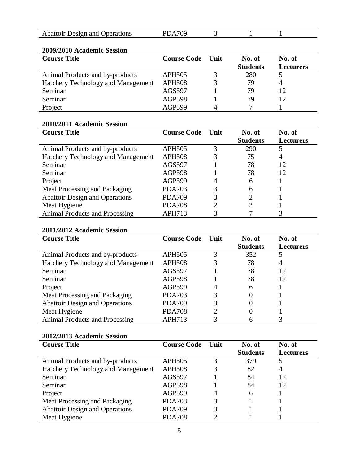| Abattoir Design and Operations<br>∸ |  |  |  |
|-------------------------------------|--|--|--|

# **2009/2010 Academic Session**

| <b>Course Title</b>                | <b>Course Code</b> Unit | No. of          | No. of           |
|------------------------------------|-------------------------|-----------------|------------------|
|                                    |                         | <b>Students</b> | <b>Lecturers</b> |
| Animal Products and by-products    | <b>APH505</b>           | 280             |                  |
| Hatchery Technology and Management | <b>APH508</b>           | 79              |                  |
| Seminar                            | AGS597                  | 79              | 12               |
| Seminar                            | <b>AGP598</b>           | 79              | 12               |
| Project                            | <b>AGP599</b>           |                 |                  |

### **2010/2011 Academic Session**

| <b>Course Title</b>                   | <b>Course Code</b> | <b>Unit</b> | No. of          | No. of           |
|---------------------------------------|--------------------|-------------|-----------------|------------------|
|                                       |                    |             | <b>Students</b> | <b>Lecturers</b> |
| Animal Products and by-products       | <b>APH505</b>      | 3           | 290             |                  |
| Hatchery Technology and Management    | <b>APH508</b>      |             | 75              | $\overline{4}$   |
| Seminar                               | AGS597             |             | 78              | 12               |
| Seminar                               | <b>AGP598</b>      |             | 78              | 12               |
| Project                               | <b>AGP599</b>      | 4           | 6               |                  |
| Meat Processing and Packaging         | <b>PDA703</b>      | 3           | 6               |                  |
| <b>Abattoir Design and Operations</b> | <b>PDA709</b>      | 3           |                 |                  |
| Meat Hygiene                          | <b>PDA708</b>      | 2           |                 |                  |
| Animal Products and Processing        | APH713             |             |                 |                  |

# **2011/2012 Academic Session**

| <b>Course Title</b>                   | <b>Course Code</b> Unit |   | No. of          | No. of           |
|---------------------------------------|-------------------------|---|-----------------|------------------|
|                                       |                         |   | <b>Students</b> | <b>Lecturers</b> |
| Animal Products and by-products       | <b>APH505</b>           | 3 | 352             |                  |
| Hatchery Technology and Management    | <b>APH508</b>           |   | 78              | 4                |
| Seminar                               | AGS597                  |   | 78              | 12               |
| Seminar                               | <b>AGP598</b>           |   | 78              | 12               |
| Project                               | <b>AGP599</b>           | 4 | 6               |                  |
| Meat Processing and Packaging         | <b>PDA703</b>           | 3 | 0               |                  |
| <b>Abattoir Design and Operations</b> | <b>PDA709</b>           | 3 |                 |                  |
| Meat Hygiene                          | <b>PDA708</b>           | ∍ | 0               |                  |
| <b>Animal Products and Processing</b> | APH713                  |   |                 |                  |

# **2012/2013 Academic Session**

| <b>Course Title</b>                   | <b>Course Code</b> Unit |   | No. of          | No. of           |
|---------------------------------------|-------------------------|---|-----------------|------------------|
|                                       |                         |   | <b>Students</b> | <b>Lecturers</b> |
| Animal Products and by-products       | <b>APH505</b>           | 3 | 379             |                  |
| Hatchery Technology and Management    | <b>APH508</b>           |   | 82              | $\overline{4}$   |
| Seminar                               | AGS597                  |   | 84              | 12               |
| Seminar                               | <b>AGP598</b>           |   | 84              | 12               |
| Project                               | <b>AGP599</b>           |   | 6               |                  |
| Meat Processing and Packaging         | <b>PDA703</b>           | 3 |                 |                  |
| <b>Abattoir Design and Operations</b> | <b>PDA709</b>           | 3 |                 |                  |
| Meat Hygiene                          | <b>PDA708</b>           |   |                 |                  |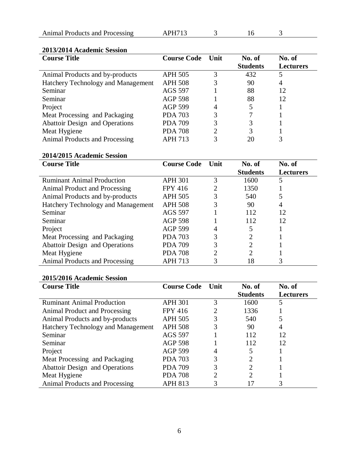| Animal Products and Processing |
|--------------------------------|
|--------------------------------|

APH713 3 16 3

#### **2013/2014 Academic Session**

| <b>Course Title</b>                   | <b>Course Code</b> | Unit | No. of          | No. of           |
|---------------------------------------|--------------------|------|-----------------|------------------|
|                                       |                    |      | <b>Students</b> | <b>Lecturers</b> |
| Animal Products and by-products       | <b>APH 505</b>     | 3    | 432             | 5                |
| Hatchery Technology and Management    | <b>APH 508</b>     | 3    | 90              | 4                |
| Seminar                               | <b>AGS 597</b>     |      | 88              | 12               |
| Seminar                               | <b>AGP 598</b>     |      | 88              | 12               |
| Project                               | <b>AGP 599</b>     | 4    |                 |                  |
| Meat Processing and Packaging         | <b>PDA 703</b>     | 3    |                 |                  |
| <b>Abattoir Design and Operations</b> | <b>PDA 709</b>     | 3    | 3               |                  |
| Meat Hygiene                          | <b>PDA 708</b>     | 2    | 3               |                  |
| Animal Products and Processing        | APH 713            | 3    | 20              |                  |

# **2014/2015 Academic Session**

| <b>Course Title</b>                   | <b>Course Code</b> | Unit | No. of                      | No. of           |
|---------------------------------------|--------------------|------|-----------------------------|------------------|
|                                       |                    |      | <b>Students</b>             | <b>Lecturers</b> |
| <b>Ruminant Animal Production</b>     | <b>APH 301</b>     | 3    | 1600                        | 5                |
| Animal Product and Processing         | <b>FPY 416</b>     | 2    | 1350                        |                  |
| Animal Products and by-products       | <b>APH 505</b>     | 3    | 540                         |                  |
| Hatchery Technology and Management    | <b>APH 508</b>     | 3    | 90                          | 4                |
| Seminar                               | <b>AGS 597</b>     |      | 112                         | 12               |
| Seminar                               | <b>AGP 598</b>     |      | 112                         | 12               |
| Project                               | <b>AGP 599</b>     | 4    |                             |                  |
| Meat Processing and Packaging         | <b>PDA 703</b>     | 3    | $\mathcal{D}_{\mathcal{L}}$ |                  |
| Abattoir Design and Operations        | <b>PDA 709</b>     | 3    | 2                           |                  |
| Meat Hygiene                          | <b>PDA 708</b>     | റ    | 2                           |                  |
| <b>Animal Products and Processing</b> | <b>APH 713</b>     |      | 18                          |                  |

### **2015/2016 Academic Session**

| <b>Course Title</b>                   | <b>Course Code</b> | Unit | No. of          | No. of           |
|---------------------------------------|--------------------|------|-----------------|------------------|
|                                       |                    |      | <b>Students</b> | <b>Lecturers</b> |
| <b>Ruminant Animal Production</b>     | <b>APH 301</b>     | 3    | 1600            | 5                |
| Animal Product and Processing         | <b>FPY</b> 416     | 2    | 1336            |                  |
| Animal Products and by-products       | <b>APH 505</b>     | 3    | 540             |                  |
| Hatchery Technology and Management    | <b>APH 508</b>     | 3    | 90              | 4                |
| Seminar                               | AGS 597            |      | 112             | 12               |
| Seminar                               | <b>AGP 598</b>     |      | 112             | 12               |
| Project                               | <b>AGP 599</b>     | 4    | 5               |                  |
| Meat Processing and Packaging         | <b>PDA 703</b>     | 3    | 2               |                  |
| <b>Abattoir Design and Operations</b> | <b>PDA 709</b>     | 3    | $\overline{2}$  |                  |
| Meat Hygiene                          | <b>PDA 708</b>     | 2    | $\overline{2}$  |                  |
| <b>Animal Products and Processing</b> | <b>APH 813</b>     | 3    |                 |                  |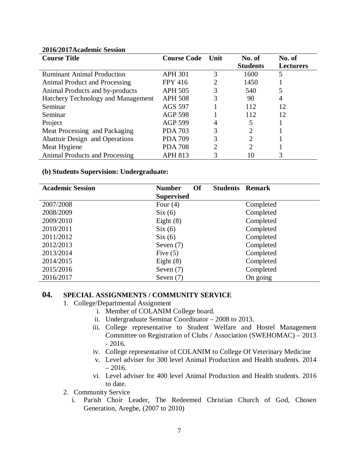| <b>Course Title</b>                   | <b>Course Code</b> | Unit | No. of                      | No. of           |
|---------------------------------------|--------------------|------|-----------------------------|------------------|
|                                       |                    |      | <b>Students</b>             | <b>Lecturers</b> |
| <b>Ruminant Animal Production</b>     | <b>APH 301</b>     | 3    | 1600                        |                  |
| Animal Product and Processing         | <b>FPY 416</b>     | 2    | 1450                        |                  |
| Animal Products and by-products       | <b>APH 505</b>     | 3    | 540                         |                  |
| Hatchery Technology and Management    | <b>APH 508</b>     | 3    | 90                          | 4                |
| Seminar                               | <b>AGS 597</b>     |      | 112                         | 12               |
| Seminar                               | <b>AGP 598</b>     |      | 112                         | 12               |
| Project                               | <b>AGP 599</b>     | 4    | 5                           |                  |
| Meat Processing and Packaging         | <b>PDA 703</b>     | 3    | 2                           |                  |
| Abattoir Design and Operations        | <b>PDA 709</b>     | 3    | $\mathcal{D}_{\mathcal{L}}$ |                  |
| Meat Hygiene                          | <b>PDA 708</b>     | ႒    | $\mathcal{D}_{\mathcal{A}}$ |                  |
| <b>Animal Products and Processing</b> | <b>APH 813</b>     | 3    |                             |                  |

#### **2016/2017Academic Session**

#### **(b) Students Supervision: Undergraduate:**

| <b>Academic Session</b> | <b>Of</b><br><b>Students Remark</b><br><b>Number</b> |           |
|-------------------------|------------------------------------------------------|-----------|
|                         | <b>Supervised</b>                                    |           |
| 2007/2008               | Four $(4)$                                           | Completed |
| 2008/2009               | Six(6)                                               | Completed |
| 2009/2010               | Eight $(8)$                                          | Completed |
| 2010/2011               | Six(6)                                               | Completed |
| 2011/2012               | Six(6)                                               | Completed |
| 2012/2013               | Seven $(7)$                                          | Completed |
| 2013/2014               | Five $(5)$                                           | Completed |
| 2014/2015               | Eight $(8)$                                          | Completed |
| 2015/2016               | Seven $(7)$                                          | Completed |
| 2016/2017               | Seven $(7)$                                          | On going  |

#### **04. SPECIAL ASSIGNMENTS / COMMUNITY SERVICE**

- 1. College/Departmental Assignment
	- i. Member of COLANIM College board.
	- ii. Undergraduate Seminar Coordinator 2008 to 2013.
	- iii. College representative to Student Welfare and Hostel Management Committee on Registration of Clubs / Association (SWEHOMAC) – 2013 - 2016.
	- iv. College representative of COLANIM to College Of Veterinary Medicine
	- v. Level adviser for 300 level Animal Production and Health students. 2014  $-2016.$
	- vi. Level adviser for 400 level Animal Production and Health students. 2016 to date.

#### 2. Community Service

i. Parish Choir Leader, The Redeemed Christian Church of God, Chosen Generation, Aregbe, (2007 to 2010)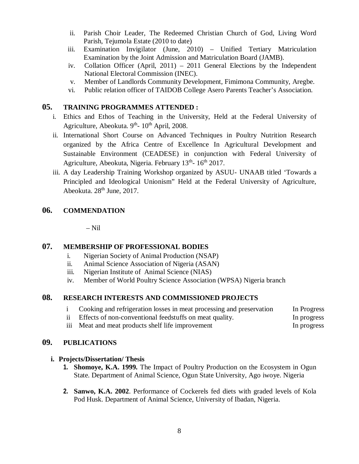- ii. Parish Choir Leader, The Redeemed Christian Church of God, Living Word Parish, Tejumola Estate (2010 to date)
- iii. Examination Invigilator (June, 2010) Unified Tertiary Matriculation Examination by the Joint Admission and Matriculation Board (JAMB).
- iv. Collation Officer (April, 2011) 2011 General Elections by the Independent National Electoral Commission (INEC).
- v. Member of Landlords Community Development, Fimimona Community, Aregbe.
- vi. Public relation officer of TAIDOB College Asero Parents Teacher's Association.

### **05. TRAINING PROGRAMMES ATTENDED :**

- i. Ethics and Ethos of Teaching in the University, Held at the Federal University of Agriculture, Abeokuta. 9<sup>th</sup>- 10<sup>th</sup> April, 2008.
- ii. International Short Course on Advanced Techniques in Poultry Nutrition Research organized by the Africa Centre of Excellence In Agricultural Development and Sustainable Environment (CEADESE) in conjunction with Federal University of Agriculture, Abeokuta, Nigeria. February 13<sup>th</sup>- 16<sup>th</sup> 2017.
- iii. A day Leadership Training Workshop organized by ASUU- UNAAB titled 'Towards a Principled and Ideological Unionism" Held at the Federal University of Agriculture, Abeokuta. 28<sup>th</sup> June, 2017.

# **06. COMMENDATION**

– Nil

### **07. MEMBERSHIP OF PROFESSIONAL BODIES**

- i. Nigerian Society of Animal Production (NSAP)
- ii. Animal Science Association of Nigeria (ASAN)
- iii. Nigerian Institute of Animal Science (NIAS)
- iv. Member of World Poultry Science Association (WPSA) Nigeria branch

### **08. RESEARCH INTERESTS AND COMMISSIONED PROJECTS**

| i Cooking and refrigeration losses in meat processing and preservation<br>In Progress |
|---------------------------------------------------------------------------------------|
|---------------------------------------------------------------------------------------|

- ii Effects of non-conventional feedstuffs on meat quality. In progress
- iii Meat and meat products shelf life improvement In progress

# **09. PUBLICATIONS**

### **i. Projects/Dissertation/ Thesis**

- **1. Shomoye, K.A. 1999.** The Impact of Poultry Production on the Ecosystem in Ogun State. Department of Animal Science, Ogun State University, Ago iwoye. Nigeria
- **2. Sanwo, K.A. 2002**. Performance of Cockerels fed diets with graded levels of Kola Pod Husk. Department of Animal Science, University of Ibadan, Nigeria.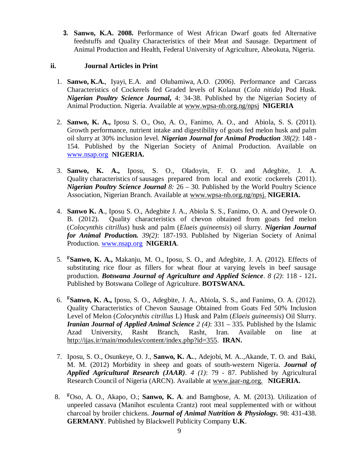**3. Sanwo, K.A. 2008.** Performance of West African Dwarf goats fed Alternative feedstuffs and Quality Characteristics of their Meat and Sausage. Department of Animal Production and Health, Federal University of Agriculture, Abeokuta, Nigeria.

#### **ii. Journal Articles in Print**

- 1. **Sanwo, K.A.**, Iyayi, E.A. and Olubamiwa, A.O. (2006). Performance and Carcass Characteristics of Cockerels fed Graded levels of Kolanut (*Cola nitida*) Pod Husk. *Nigerian Poultry Science Journal***,** 4: 34-38. Published by the Nigerian Society of Animal Production. Nigeria. Available at [www.wpsa-nb.org.ng/npsj](http://www.wpsa-nb.org.ng/npsj) **NIGERIA**
- 2. **Sanwo, K. A.,** Iposu S. O., Oso, A. O., Fanimo, A. O., and Abiola, S. S. (2011). Growth performance, nutrient intake and digestibility of goats fed melon husk and palm oil slurry at 30% inclusion level. *Nigerian Journal for Animal Production 38(2)*: 148 - 154. Published by the Nigerian Society of Animal Production. Available on [www.nsap.org](http://www.nsap.org) **NIGERIA.**
- 3. **Sanwo, K. A.,** Iposu, S. O., Oladoyin, F. O. and Adegbite, J. A. Quality characteristics of sausages prepared from local and exotic cockerels (2011). *Nigerian Poultry Science Journal 8:* 26 – 30. Published by the World Poultry Science Association, Nigerian Branch. Available at [www.wpsa-nb.org.ng/npsj.](http://www.wpsa-nb.org.ng/npsj.) **NIGERIA.**
- 4. **Sanwo K. A**., Iposu S. O., Adegbite J. A., Abiola S. S., Fanimo, O. A. and Oyewole O. B. (2012). Quality characteristics of chevon obtained from goats fed melon (*Colocynthis citrillus*) husk and palm (*Elaeis guineensis*) oil slurry. *Nigerian Journal for Animal Production. 39(2)*: 187-193. Published by Nigerian Society of Animal Production. [www.nsap.org](http://www.nsap.org) **NIGERIA**.
- 5. **<sup>F</sup>Sanwo, K. A.,** Makanju, M. O., Iposu, S. O., and Adegbite, J. A. (2012). Effects of substituting rice flour as fillers for wheat flour at varying levels in beef sausage production. *Botswana Journal of Agriculture and Applied Science*. *8 (2)*: 118 - 121**.** Published by Botswana College of Agriculture. **BOTSWANA.**
- 6. **<sup>F</sup>Sanwo, K. A.,** Iposu, S. O., Adegbite, J. A., Abiola, S. S., and Fanimo, O. A. (2012). Quality Characteristics of Chevon Sausage Obtained from Goats Fed 50% Inclusion Level of Melon (*Colocynthis citrillus* L) Husk and Palm (*Elaeis guineensis*) Oil Slurry. *Iranian Journal of Applied Animal Science 2 (4)*: 331 – 335. Published by the Islamic Azad University, Rasht Branch, Rasht, Iran. Available on line at <http://ijas.ir/main/modules/content/index.php?id=355.> **IRAN.**
- 7. Iposu, S. O., Osunkeye, O. J., **Sanwo, K. A.**., Adejobi, M. A..,Akande, T. O. and Baki, M. M. (2012) Morbidity in sheep and goats of south-western Nigeria. *Journal of Applied Agricultural Research (JAAR)*. *4 (1)*: 79 - 87. Published by Agricultural Research Council of Nigeria (ARCN). Available at [www.jaar-ng.org.](http://www.jaar-ng.org.) **NIGERIA.**
- 8. **<sup>F</sup>**Oso, A. O., Akapo, O.; **Sanwo, K. A**. and Bamgbose, A. M. (2013). Utilization of unpeeled cassava (Manihot esculenta Crantz) root meal supplemented with or without charcoal by broiler chickens. *Journal of Animal Nutrition & Physiology.* 98: 431-438. **GERMANY**. Published by Blackwell Publicity Company **U.K**.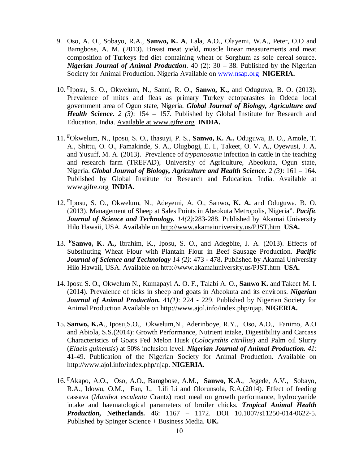- 9. Oso, A. O., Sobayo, R.A., **Sanwo, K. A**, Lala, A.O., Olayemi, W.A., Peter, O.O and Bamgbose, A. M. (2013). Breast meat yield, muscle linear measurements and meat composition of Turkeys fed diet containing wheat or Sorghum as sole cereal source. *Nigerian Journal of Animal Production*. 40 (2): 30 – 38. Published by the Nigerian Society for Animal Production. Nigeria Available on [www.nsap.org](http://www.nsap.org) **NIGERIA.**
- 10. **<sup>F</sup>** Iposu, S. O., Okwelum, N., Sanni, R. O., **Sanwo, K.,** and Oduguwa, B. O. (2013). Prevalence of mites and fleas as primary Turkey ectoparasites in Odeda local government area of Ogun state, Nigeria. *Global Journal of Biology, Agriculture and Health Science. 2 (3)*: 154 – 157. Published by Global Institute for Research and Education. India. Available at [www.gifre.org](http://www.gifre.org) **INDIA.**
- 11. **<sup>F</sup>**Okwelum, N., Iposu, S. O., Ihasuyi, P. S., **Sanwo, K. A.,** Oduguwa, B. O., Amole, T. A., Shittu, O. O., Famakinde, S. A., Olugbogi, E. I., Takeet, O. V. A., Oyewusi, J. A. and Yusuff, M. A. (2013). Prevalence of *trypanosoma* infection in cattle in the teaching and research farm (TREFAD), University of Agriculture, Abeokuta, Ogun state, Nigeria. *Global Journal of Biology, Agriculture and Health Science. 2 (3)*: 161 – 164. Published by Global Institute for Research and Education. India. Available at [www.gifre.org](http://www.gifre.org) **INDIA.**
- 12. **<sup>F</sup>** Iposu, S. O., Okwelum, N., Adeyemi, A. O., Sanwo**, K. A.** and Oduguwa. B. O. (2013). Management of Sheep at Sales Points in Abeokuta Metropolis, Nigeria". *Pacific Journal of Science and Technology. 14(2)*:283-288. Published by Akamai University Hilo Hawaii, USA. Available on <http://www.akamaiuniversity.us/PJST.htm> **USA.**
- 13. **<sup>F</sup>Sanwo, K. A.,** Ibrahim, K., Iposu, S. O., and Adegbite, J. A. (2013). Effects of Substituting Wheat Flour with Plantain Flour in Beef Sausage Production. *Pacific Journal of Science and Technology 14 (2)*: 473 - 478**.** Published by Akamai University Hilo Hawaii, USA. Available on <http://www.akamaiuniversity.us/PJST.htm> **USA.**
- 14. Iposu S. O., Okwelum N., Kumapayi A. O. F., Talabi A. O., **Sanwo K.** and Takeet M. I. (2014). Prevalence of ticks in sheep and goats in Abeokuta and its environs. *Nigerian Journal of Animal Production.* 41*(1)*: 224 - 229. Published by Nigerian Society for Animal Production Available on <http://www.ajol.info/index.php/njap.> **NIGERIA.**
- 15. **Sanwo, K.A**., Iposu,S.O., Okwelum,N., Aderinboye, R.Y., Oso, A.O., Fanimo, A.O and Abiola, S.S.(2014): Growth Performance, Nutrient intake, Digestibility and Carcass Characteristics of Goats Fed Melon Husk (*Colocynthis citrillus*) and Palm oil Slurry (*Elaeis guinensis*) at 50% inclusion level. *Nigerian Journal of Animal Production. 41*: 41-49. Publication of the Nigerian Society for Animal Production. Available on <http://www.ajol.info/index.php/njap.> **NIGERIA.**
- 16. **<sup>F</sup>**Akapo, A.O., Oso, A.O., Bamgbose, A.M., **Sanwo, K.A**., Jegede, A.V., Sobayo, R.A., Idowu, O.M., Fan, J., Lili Li and Olorunsola, R.A.(2014). Effect of feeding cassava (*Manihot esculenta* Crantz) root meal on growth performance, hydrocyanide intake and haematological parameters of broiler chicks. *Tropical Animal Health Production,* **Netherlands***.* 46: 1167 – 1172. DOI 10.1007/s11250-014-0622-5. Published by Spinger Science + Business Media. **UK***.*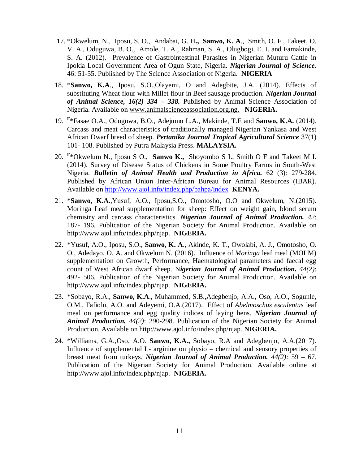- 17. \*Okwelum, N., Iposu, S. O., Andabai, G. H**., Sanwo, K. A**., Smith, O. F., Takeet, O. V. A., Oduguwa, B. O., Amole, T. A., Rahman, S. A., Olugbogi, E. I. and Famakinde, S. A. (2012). Prevalence of Gastrointestinal Parasites in Nigerian Muturu Cattle in Ipokia Local Government Area of Ogun State, Nigeria. *Nigerian Journal of Science.*  46: 51-55. Published by The Science Association of Nigeria. **NIGERIA**
- 18. \***Sanwo, K.A**., Iposu, S.O.,Olayemi, O and Adegbite, J.A. (2014). Effects of substituting Wheat flour with Millet flour in Beef sausage production. *Nigerian Journal of Animal Science, 16(2) 334 – 338.* Published by Animal Science Association of Nigeria. Available on [www.animalscienceassociation.org.ng.](http://www.animalscienceassociation.org.ng.) **NIGERIA.**
- 19. **<sup>F</sup>** \*Fasae O.A., Oduguwa, B.O., Adejumo L.A., Makinde, T.E and **Sanwo, K.A.** (2014). Carcass and meat characteristics of traditionally managed Nigerian Yankasa and West African Dwarf breed of sheep. *Pertanika Journal Tropical Agricultural Science* 37(1) 101- 108. Published by Putra Malaysia Press. **MALAYSIA.**
- 20. **<sup>F</sup>** \*Okwelum N., Iposu S O., **Sanwo K.,** Shoyombo S I., Smith O F and Takeet M I. (2014). Survey of Disease Status of Chickens in Some Poultry Farms in South-West Nigeria. *Bulletin of Animal Health and Production in Africa.* 62 (3): 279-284. Published by African Union Inter-African Bureau for Animal Resources (IBAR). Available on <http://www.ajol.info/index.php/bahpa/index> **KENYA.**
- 21. \***Sanwo, K.A**.,Yusuf, A.O., Iposu,S.O., Omotosho, O.O and Okwelum, N.(2015). Moringa Leaf meal supplementation for sheep: Effect on weight gain, blood serum chemistry and carcass characteristics. *Nigerian Journal of Animal Production. 42*: 187- 196. Publication of the Nigerian Society for Animal Production. Available on <http://www.ajol.info/index.php/njap.> **NIGERIA.**
- 22. \*Yusuf, A.O., Iposu, S.O., **Sanwo, K. A**., Akinde, K. T., Owolabi, A. J., Omotosho, O. O., Adedayo, O. A. and Okwelum N. (2016). Influence of *Moringa* leaf meal (MOLM) supplementation on Growth, Performance, Haematological parameters and faecal egg count of West African dwarf sheep. N*igerian Journal of Animal Production. 44(2)*: 492- 506. Publication of the Nigerian Society for Animal Production. Available on <http://www.ajol.info/index.php/njap.> **NIGERIA.**
- 23. \*Sobayo, R.A., **Sanwo, K.A**., Muhammed, S.B.,Adegbenjo, A.A., Oso, A.O., Sogunle, O.M., Fafiolu, A.O. and Adeyemi, O.A.(2017). Effect of *Abelmoschus esculentus* leaf meal on performance and egg quality indices of laying hens. *Nigerian Journal of Animal Production. 44(2)*: 290-298. Publication of the Nigerian Society for Animal Production. Available on <http://www.ajol.info/index.php/njap.> **NIGERIA.**
- 24. \*Williams, G.A.,Oso, A.O. **Sanwo, K.A.,** Sobayo, R.A and Adegbenjo, A.A.(2017). Influence of supplemental L- arginine on physio – chemical and sensory properties of breast meat from turkeys. *Nigerian Journal of Animal Production. 44(2)*: 59 – 67. Publication of the Nigerian Society for Animal Production. Available online at <http://www.ajol.info/index.php/njap.> **NIGERIA.**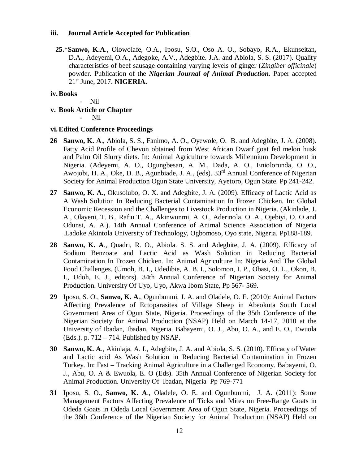#### **iii. Journal Article Accepted for Publication**

**25.**\***Sanwo, K.A**., Olowolafe, O.A., Iposu, S.O., Oso A. O., Sobayo, R.A., Ekunseitan**,**  D.A., Adeyemi, O.A., Adegoke, A.V., Adegbite. J.A. and Abiola, S. S. (2017). Quality characteristics of beef sausage containing varying levels of ginger (*Zingiber officinale*) powder. Publication of the *Nigerian Journal of Animal Production.* Paper accepted 21st June, 2017. **NIGERIA.**

#### **iv.Books**

- Nil

- **v. Book Article or Chapter** 
	- Nil

#### **vi.Edited Conference Proceedings**

- **26 Sanwo, K. A**., Abiola, S. S., Fanimo, A. O., Oyewole, O. B. and Adegbite, J. A. (2008). Fatty Acid Profile of Chevon obtained from West African Dwarf goat fed melon husk and Palm Oil Slurry diets. In: Animal Agriculture towards Millennium Development in Nigeria. (Adeyemi, A. O., Ogungbesan, A. M., Dada, A. O., Eniolorunda, O. O., Awojobi, H. A., Oke, D. B., Agunbiade, J. A., (eds). 33rd Annual Conference of Nigerian Society for Animal Production Ogun State University, Ayetoro, Ogun State. Pp 241-242.
- **27 Sanwo, K. A.**, Okusolubo, O. X. and Adegbite, J. A. (2009). Efficacy of Lactic Acid as A Wash Solution In Reducing Bacterial Contamination In Frozen Chicken. In: Global Economic Recession and the Challenges to Livestock Production in Nigeria. (Akinlade, J. A., Olayeni, T. B., Rafiu T. A., Akinwunmi, A. O., Aderinola, O. A., Ojebiyi, O. O and Odunsi, A. A.). 14th Annual Conference of Animal Science Association of Nigeria .Ladoke Akintola University of Technology, Ogbomoso, Oyo state, Nigeria. Pp188-189.
- **28 Sanwo, K. A**., Quadri, R. O., Abiola. S. S. and Adegbite, J. A. (2009). Efficacy of Sodium Benzoate and Lactic Acid as Wash Solution in Reducing Bacterial Contamination In Frozen Chicken. In: Animal Agriculture In: Nigeria And The Global Food Challenges. (Umoh, B. I., Udedibie, A. B. I., Solomon, I. P., Obasi, O. L., Okon, B. I., Udoh, E. J., editors). 34th Annual Conference of Nigerian Society for Animal Production. University Of Uyo, Uyo, Akwa Ibom State, Pp 567- 569.
- **29** Iposu, S. O., **Sanwo, K. A**., Ogunbunmi, J. A. and Oladele, O. E. (2010): Animal Factors Affecting Prevalence of Ectoparasites of Village Sheep in Abeokuta South Local Government Area of Ogun State, Nigeria. Proceedings of the 35th Conference of the Nigerian Society for Animal Production (NSAP) Held on March 14-17, 2010 at the University of Ibadan, Ibadan, Nigeria. Babayemi, O. J., Abu, O. A., and E. O., Ewuola (Eds.). p. 712 – 714. Published by NSAP.
- **30 Sanwo, K. A**., Akinlaja, A. I., Adegbite, J. A. and Abiola, S. S. (2010). Efficacy of Water and Lactic acid As Wash Solution in Reducing Bacterial Contamination in Frozen Turkey. In: Fast – Tracking Animal Agriculture in a Challenged Economy. Babayemi, O. J., Abu, O. A & Ewuola, E. O (Eds). 35th Annual Conference of Nigerian Society for Animal Production. University Of Ibadan, Nigeria Pp 769-771
- **31** Iposu, S. O., **Sanwo, K. A**., Oladele, O. E. and Ogunbunmi, J. A. (2011): Some Management Factors Affecting Prevalence of Ticks and Mites on Free-Range Goats in Odeda Goats in Odeda Local Government Area of Ogun State, Nigeria. Proceedings of the 36th Conference of the Nigerian Society for Animal Production (NSAP) Held on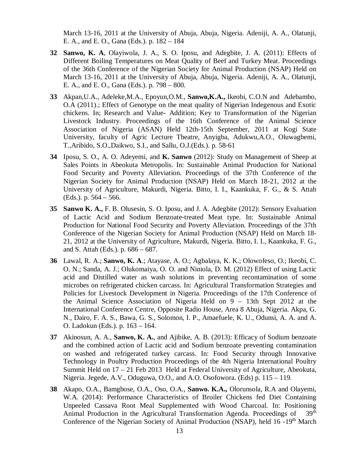March 13-16, 2011 at the University of Abuja, Abuja, Nigeria. Adeniji, A. A., Olatunji, E. A., and E. O., Gana (Eds.). p. 182 – 184

- **32 Sanwo, K. A**, Olayiwola, J. A., S. O. Iposu, and Adegbite, J. A. (2011): Effects of Different Boiling Temperatures on Meat Quality of Beef and Turkey Meat. Proceedings of the 36th Conference of the Nigerian Society for Animal Production (NSAP) Held on March 13-16, 2011 at the University of Abuja, Abuja, Nigeria. Adeniji, A. A., Olatunji, E. A., and E. O., Gana (Eds.). p. 798 – 800.
- **33** Akpan,U.A., Adeleke,M.A., Epoyun,O.M., **Sanwo,K.A.,** Ikeobi, C.O.N and Adebambo, O.A (2011).; Effect of Genotype on the meat quality of Nigerian Indegenous and Exotic chickens. In; Research and Value- Addition; Key to Transformation of the Nigerian Livestock Industry. Proceedings of the 16th Conference of the Animal Science Association of Nigeria (ASAN) Held 12th-15th September, 2011 at Kogi State University, faculty of Agric Lecture Theatre, Anyigba, Adukwu,A.O., Oluwagbemi, T.,Aribido, S.O.,Daikwo, S.I., and Sallu, O.J.(Eds.). p. 58-61
- **34** Iposu, S. O., A. O. Adeyemi, and **K. Sanwo** (2012): Study on Management of Sheep at Sales Points in Abeokuta Metropolis. In: Sustainable Animal Production for National Food Security and Poverty Alleviation. Proceedings of the 37th Conference of the Nigerian Society for Animal Production (NSAP) Held on March 18-21, 2012 at the University of Agriculture, Makurdi, Nigeria. Bitto, I. I., Kaankuka, F. G., & S. Attah (Eds.). p. 564 – 566.
- **35 Sanwo K. A.,** F. B. Olusesin, S. O. Iposu, and J. A. Adegbite (2012): Sensory Evaluation of Lactic Acid and Sodium Benzoate-treated Meat type. In: Sustainable Animal Production for National Food Security and Poverty Alleviation. Proceedings of the 37th Conference of the Nigerian Society for Animal Production (NSAP) Held on March 18- 21, 2012 at the University of Agriculture, Makurdi, Nigeria. Bitto, I. I., Kaankuka, F. G., and S. Attah (Eds.). p. 686 – 687.
- **36** Lawal, R. A.; **Sanwo, K. A**.; Atayase, A. O.; Agbalaya, K. K.; Olowofeso, O.; Ikeobi, C. O. N.; Sanda, A. J.; Olukomaiya, O. O. and Niniola, D. M. (2012) Effect of using Lactic acid and Distilled water as wash solutions in preventing recontamination of some microbes on refrigerated chicken carcass. In: Agricultural Transformation Strategies and Policies for Livestock Development in Nigeria. Proceedings of the 17th Conference of the Animal Science Association of Nigeria Held on 9 – 13th Sept 2012 at the International Conference Centre, Opposite Radio House, Area 8 Abuja, Nigeria. Akpa, G. N., Dairo, F. A. S., Bawa, G. S., Solomon, I. P., Amaefuele, K. U., Odunsi, A. A. and A. O. Ladokun (Eds.). p. 163 – 164.
- **37** Akinosun, A. A., **Sanwo, K. A.**, and Ajibike, A. B. (2013): Efficacy of Sodium benzoate and the combined action of Lactic acid and Sodium benzoate preventing contamination on washed and refrigerated turkey carcass. In: Food Security through Innovative Technology in Poultry Production Proceedings of the 4th Nigeria International Poultry Summit Held on 17 – 21 Feb 2013 Held at Federal University of Agriculture, Abeokuta, Nigeria. Jegede, A.V., Oduguwa, O.O., and A.O. Osofowora. (Eds) p. 115 – 119.
- **38** Akapo, O.A., Bamgbose, O.A., Oso, O.A., **Sanwo. K.A.,** Olorunsola, R.A and Olayemi, W.A. (2014): Performance Characteristics of Broiler Chickens fed Diet Containing Unpeeled Cassava Root Meal Supplemented with Wood Charcoal. In: Positioning Animal Production in the Agricultural Transformation Agenda. Proceedings of 39<sup>th</sup> Conference of the Nigerian Society of Animal Production (NSAP), held 16 -19<sup>th</sup> March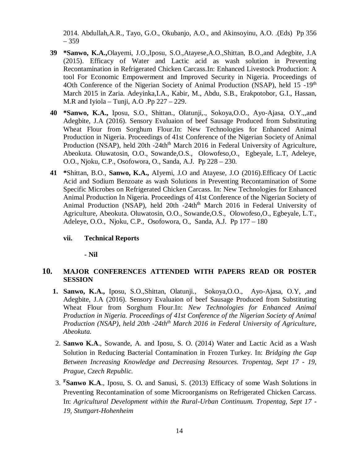2014. Abdullah,A.R., Tayo, G.O., Okubanjo, A.O., and Akinsoyinu, A.O. .(Eds) Pp 356 – 359

- **39 \*Sanwo, K.A.,**Olayemi, J.O.,Iposu, S.O.,Atayese,A.O.,Shittan, B.O.,and Adegbite, J.A (2015). Efficacy of Water and Lactic acid as wash solution in Preventing Recontamination in Refrigerated Chicken Carcass.In: Enhanced Livestock Production: A tool For Economic Empowerment and Improved Security in Nigeria. Proceedings of 4Oth Conference of the Nigerian Society of Animal Production (NSAP), held  $15 - 19<sup>th</sup>$ March 2015 in Zaria. Adeyinka,I.A., Kabir, M., Abdu, S.B., Erakpotobor, G.I., Hassan, M.R and Iyiola – Tunji, A.O .Pp  $227 - 229$ .
- **40 \*Sanwo, K.A.,** Iposu, S.O., Shittan., Olatunji,., Sokoya,O.O., Ayo-Ajasa, O.Y.,,and Adegbite, J.A (2016). Sensory Evaluaion of beef Sausage Produced from Substituting Wheat Flour from Sorghum Flour.In: New Technologies for Enhanced Animal Production in Nigeria. Proceedings of 41st Conference of the Nigerian Society of Animal Production (NSAP), held 20th -24th<sup>th</sup> March 2016 in Federal University of Agriculture, Abeokuta. Oluwatosin, O.O., Sowande,O.S., Olowofeso,O., Egbeyale, L.T, Adeleye, O.O., Njoku, C.P., Osofowora, O., Sanda, A.J. Pp 228 – 230.
- **41 \***Shittan, B.O., **Sanwo, K.A.,** AIyemi, J.O and Atayese, J.O (2016).Efficacy Of Lactic Acid and Sodium Benzoate as wash Solutions in Preventing Recontamination of Some Specific Microbes on Refrigerated Chicken Carcass. In: New Technologies for Enhanced Animal Production In Nigeria. Proceedings of 41st Conference of the Nigerian Society of Animal Production (NSAP), held 20th -24th<sup>th</sup> March 2016 in Federal University of Agriculture, Abeokuta. Oluwatosin, O.O., Sowande,O.S., Olowofeso,O., Egbeyale, L.T., Adeleye, O.O., Njoku, C.P., Osofowora, O., Sanda, A.J. Pp 177 – 180

#### **vii. Technical Reports**

**- Nil**

#### **10. MAJOR CONFERENCES ATTENDED WITH PAPERS READ OR POSTER SESSION**

- **1. Sanwo, K.A.,** Iposu, S.O.,Shittan, Olatunji., Sokoya,O.O., Ayo-Ajasa, O.Y, ,and Adegbite, J.A (2016). Sensory Evaluaion of beef Sausage Produced from Substituting Wheat Flour from Sorghum Flour.In: *New Technologies for Enhanced Animal Production in Nigeria. Proceedings of 41st Conference of the Nigerian Society of Animal Production (NSAP), held 20th -24thth March 2016 in Federal University of Agriculture, Abeokuta.*
- 2. **Sanwo K.A**., Sowande, A. and Iposu, S. O. (2014) Water and Lactic Acid as a Wash Solution in Reducing Bacterial Contamination in Frozen Turkey. In: *Bridging the Gap Between Increasing Knowledge and Decreasing Resources. Tropentag, Sept 17 - 19, Prague, Czech Republic.*
- 3. **<sup>F</sup>Sanwo K.A**., Iposu, S. O**.** and Sanusi, S. (2013) Efficacy of some Wash Solutions in Preventing Recontamination of some Microorganisms on Refrigerated Chicken Carcass. In: *Agricultural Development within the Rural-Urban Continuum. Tropentag, Sept 17 - 19, Stuttgart-Hohenheim*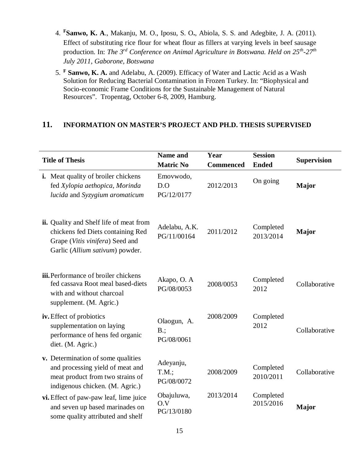- 4. **<sup>F</sup>Sanwo, K. A**., Makanju, M. O., Iposu, S. O**.**, Abiola, S. S. and Adegbite, J. A. (2011). Effect of substituting rice flour for wheat flour as fillers at varying levels in beef sausage production. In: *The 3rd Conference on Animal Agriculture in Botswana. Held on 25th -27th July 2011, Gaborone, Botswana*
- 5. **<sup>F</sup> Sanwo, K. A.** and Adelabu, A. (2009). Efficacy of Water and Lactic Acid as a Wash Solution for Reducing Bacterial Contamination in Frozen Turkey. In: "Biophysical and Socio-economic Frame Conditions for the Sustainable Management of Natural Resources". Tropentag, October 6-8, 2009, Hamburg.

#### **11. INFORMATION ON MASTER'S PROJECT AND PH.D. THESIS SUPERVISED**

| <b>Title of Thesis</b>                                                                                                                             | <b>Name and</b><br><b>Matric No</b> | Year<br><b>Commenced</b> | <b>Session</b><br><b>Ended</b> | <b>Supervision</b> |
|----------------------------------------------------------------------------------------------------------------------------------------------------|-------------------------------------|--------------------------|--------------------------------|--------------------|
| <b>i.</b> Meat quality of broiler chickens<br>fed Xylopia aethopica, Morinda<br>lucida and Syzygium aromaticum                                     | Emovwodo,<br>D.O<br>PG/12/0177      | 2012/2013                | On going                       | Major              |
| ii. Quality and Shelf life of meat from<br>chickens fed Diets containing Red<br>Grape (Vitis vinifera) Seed and<br>Garlic (Allium sativum) powder. | Adelabu, A.K.<br>PG/11/00164        | 2011/2012                | Completed<br>2013/2014         | Major              |
| iii. Performance of broiler chickens<br>fed cassava Root meal based-diets<br>with and without charcoal<br>supplement. (M. Agric.)                  | Akapo, O. A<br>PG/08/0053           | 2008/0053                | Completed<br>2012              | Collaborative      |
| iv. Effect of probiotics<br>supplementation on laying<br>performance of hens fed organic<br>diet. (M. Agric.)                                      | Olaogun, A.<br>$B$ .;<br>PG/08/0061 | 2008/2009                | Completed<br>2012              | Collaborative      |
| v. Determination of some qualities<br>and processing yield of meat and<br>meat product from two strains of<br>indigenous chicken. (M. Agric.)      | Adeyanju,<br>T.M.;<br>PG/08/0072    | 2008/2009                | Completed<br>2010/2011         | Collaborative      |
| vi. Effect of paw-paw leaf, lime juice<br>and seven up based marinades on<br>some quality attributed and shelf                                     | Obajuluwa,<br>O.V<br>PG/13/0180     | 2013/2014                | Completed<br>2015/2016         | Major              |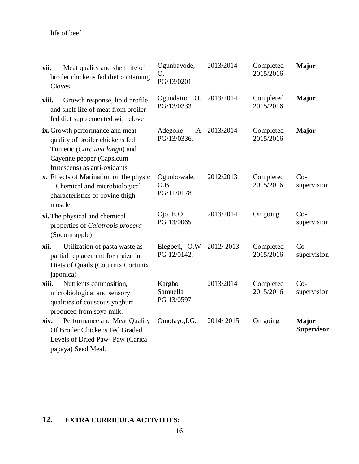| Meat quality and shelf life of<br>vii.<br>broiler chickens fed diet containing<br>Cloves                                                                      | Ogunbayode,<br>O.<br>PG/13/0201        | 2013/2014 | Completed<br>2015/2016 | <b>Major</b>                      |
|---------------------------------------------------------------------------------------------------------------------------------------------------------------|----------------------------------------|-----------|------------------------|-----------------------------------|
| Growth response, lipid profile<br>viii.<br>and shelf life of meat from broiler<br>fed diet supplemented with clove                                            | Ogundairo .O.<br>PG/13/0333            | 2013/2014 | Completed<br>2015/2016 | <b>Major</b>                      |
| ix. Growth performance and meat<br>quality of broiler chickens fed<br>Tumeric (Curcuma longa) and<br>Cayenne pepper (Capsicum<br>frutescens) as anti-oxidants | Adegoke<br>$\mathbf{A}$<br>PG/13/0336. | 2013/2014 | Completed<br>2015/2016 | <b>Major</b>                      |
| x. Effects of Marination on the physic<br>- Chemical and microbiological<br>characteristics of bovine thigh<br>muscle                                         | Ogunbowale,<br>O.B<br>PG/11/0178       | 2012/2013 | Completed<br>2015/2016 | $Co-$<br>supervision              |
| xi. The physical and chemical<br>properties of Calotropis procera<br>(Sodom apple)                                                                            | Ojo, E.O.<br>PG 13/0065                | 2013/2014 | On going               | $Co-$<br>supervision              |
| Utilization of pasta waste as<br>xii.<br>partial replacement for maize in<br>Diets of Quails (Coturnix Cortunix<br>japonica)                                  | Elegbeji, O.W<br>PG 12/0142.           | 2012/2013 | Completed<br>2015/2016 | $Co-$<br>supervision              |
| xiii.<br>Nutrients composition,<br>microbiological and sensory<br>qualities of couscous yoghurt<br>produced from soya milk.                                   | Kargbo<br>Samuella<br>PG 13/0597       | 2013/2014 | Completed<br>2015/2016 | $Co-$<br>supervision              |
| Performance and Meat Quality<br>xiv.<br>Of Broiler Chickens Fed Graded<br>Levels of Dried Paw- Paw (Carica<br>papaya) Seed Meal.                              | Omotayo, I.G.                          | 2014/2015 | On going               | <b>Major</b><br><b>Supervisor</b> |

# **12. EXTRA CURRICULA ACTIVITIES:**